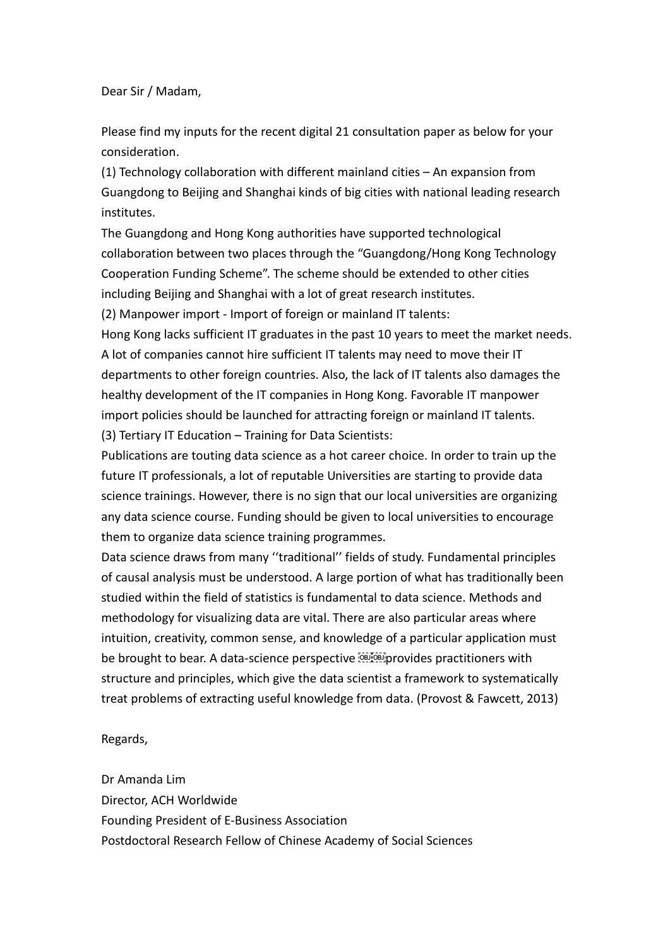Dear Sir / Madam,

Please find my inputs for the recent digital 21 consultation paper as below for your consideration.

(1) Technology collaboration with different mainland cities – An expansion from Guangdong to Beijing and Shanghai kinds of big cities with national leading research institutes.

The Guangdong and Hong Kong authorities have supported technological collaboration between two places through the "Guangdong/Hong Kong Technology Cooperation Funding Scheme". The scheme should be extended to other cities including Beijing and Shanghai with a lot of great research institutes.

(2) Manpower import - Import of foreign or mainland IT talents:

Hong Kong lacks sufficient IT graduates in the past 10 years to meet the market needs. A lot of companies cannot hire sufficient IT talents may need to move their IT departments to other foreign countries. Also, the lack of IT talents also damages the healthy development of the IT companies in Hong Kong. Favorable IT manpower import policies should be launched for attracting foreign or mainland IT talents. (3) Tertiary IT Education – Training for Data Scientists:

Publications are touting data science as a hot career choice. In order to train up the future IT professionals, a lot of reputable Universities are starting to provide data science trainings. However, there is no sign that our local universities are organizing any data science course. Funding should be given to local universities to encourage them to organize data science training programmes.

Data science draws from many ''traditional'' fields of study. Fundamental principles of causal analysis must be understood. A large portion of what has traditionally been studied within the field of statistics is fundamental to data science. Methods and methodology for visualizing data are vital. There are also particular areas where intuition, creativity, common sense, and knowledge of a particular application must be brought to bear. A data-science perspective **provides** practitioners with structure and principles, which give the data scientist a framework to systematically treat problems of extracting useful knowledge from data. (Provost & Fawcett, 2013)

Regards,

Dr Amanda Lim Director, ACH Worldwide Founding President of E-Business Association Postdoctoral Research Fellow of Chinese Academy of Social Sciences